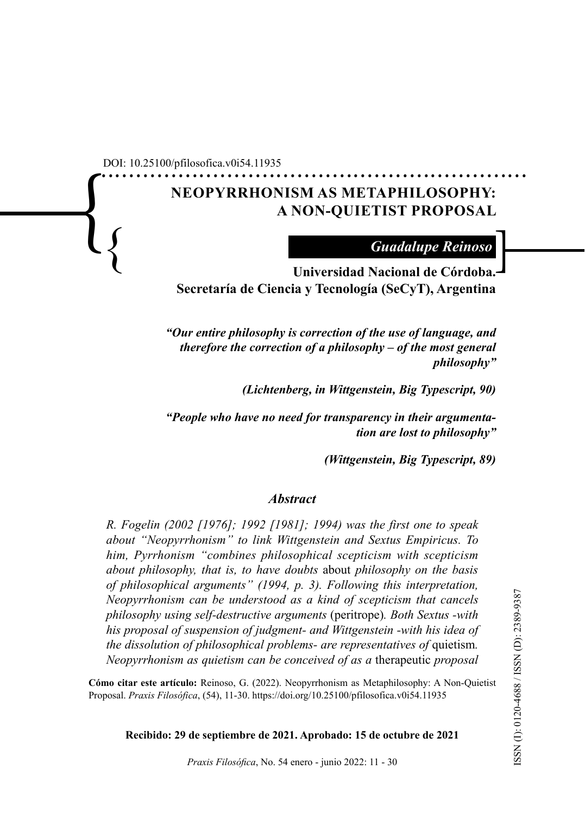............................................................. DOI: 10.25100/pfilosofica.v0i54.11935

 $\displaystyle\left\{\right.$ 

# **NEOPYRRHONISM AS METAPHILOSOPHY: A NON-QUIETIST PROPOSAL**

*Guadalupe Reinoso*

} ] **Universidad Nacional de Córdoba. Secretaría de Ciencia y Tecnología (SeCyT), Argentina** 

> *"Our entire philosophy is correction of the use of language, and therefore the correction of a philosophy – of the most general philosophy"*

> > *(Lichtenberg, in Wittgenstein, Big Typescript, 90)*

*"People who have no need for transparency in their argumentation are lost to philosophy"* 

*(Wittgenstein, Big Typescript, 89)*

#### *Abstract*

*R. Fogelin (2002 [1976]; 1992 [1981]; 1994) was the first one to speak about "Neopyrrhonism" to link Wittgenstein and Sextus Empiricus. To him, Pyrrhonism "combines philosophical scepticism with scepticism about philosophy, that is, to have doubts* about *philosophy on the basis of philosophical arguments" (1994, p. 3). Following this interpretation, Neopyrrhonism can be understood as a kind of scepticism that cancels philosophy using self-destructive arguments* (peritrope)*. Both Sextus -with his proposal of suspension of judgment- and Wittgenstein -with his idea of the dissolution of philosophical problems- are representatives of quietism. Neopyrrhonism as quietism can be conceived of as a* therapeutic *proposal* 

**Cómo citar este artículo:** Reinoso, G. (2022). Neopyrrhonism as Metaphilosophy: A Non-Quietist Proposal. *Praxis Filosófica*, (54), 11-30. <https://doi.org/10.25100/pfilosofica.v0i54.11935>

**Recibido: 29 de septiembre de 2021. Aprobado: 15 de octubre de 2021**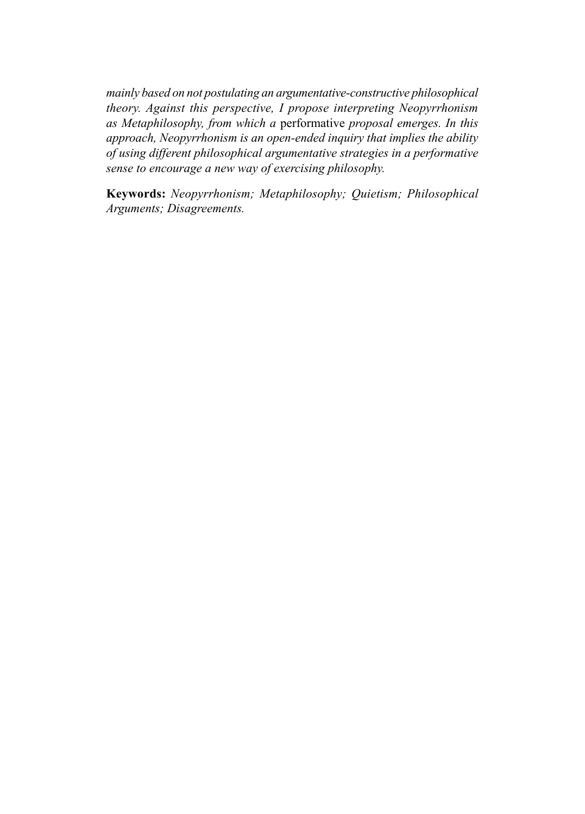*mainly based on not postulating an argumentative-constructive philosophical theory. Against this perspective, I propose interpreting Neopyrrhonism as Metaphilosophy, from which a* performative *proposal emerges. In this approach, Neopyrrhonism is an open-ended inquiry that implies the ability of using different philosophical argumentative strategies in a performative sense to encourage a new way of exercising philosophy.* 

**Keywords:** *Neopyrrhonism; Metaphilosophy; Quietism; Philosophical Arguments; Disagreements.*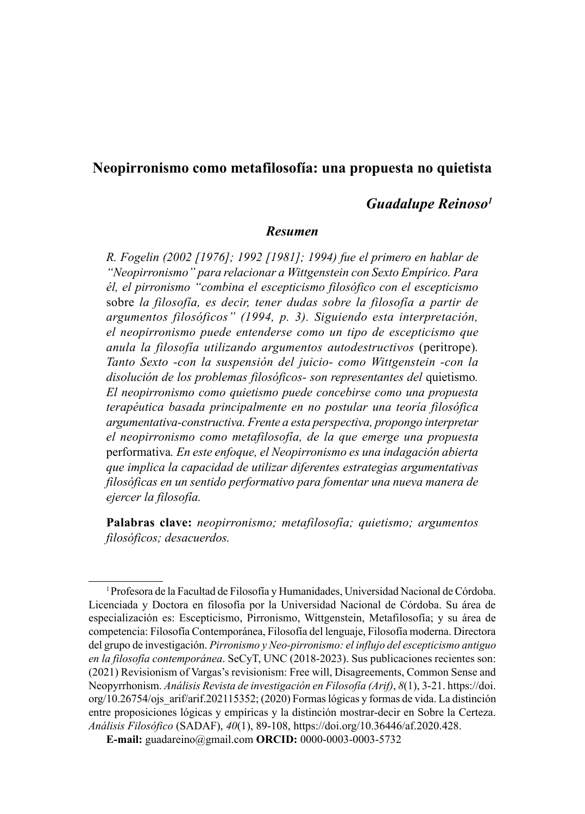## **Neopirronismo como metafilosofía: una propuesta no quietista**

## *Guadalupe Reinoso1*

#### *Resumen*

*R. Fogelin (2002 [1976]; 1992 [1981]; 1994) fue el primero en hablar de "Neopirronismo" para relacionar a Wittgenstein con Sexto Empírico. Para él, el pirronismo "combina el escepticismo filosófico con el escepticismo*  sobre *la filosofía, es decir, tener dudas sobre la filosofía a partir de argumentos filosóficos" (1994, p. 3). Siguiendo esta interpretación, el neopirronismo puede entenderse como un tipo de escepticismo que anula la filosofía utilizando argumentos autodestructivos* (peritrope)*. Tanto Sexto -con la suspensión del juicio- como Wittgenstein -con la disolución de los problemas filosóficos- son representantes del* quietismo*. El neopirronismo como quietismo puede concebirse como una propuesta terapéutica basada principalmente en no postular una teoría filosófica argumentativa-constructiva. Frente a esta perspectiva, propongo interpretar el neopirronismo como metafilosofía, de la que emerge una propuesta*  performativa*. En este enfoque, el Neopirronismo es una indagación abierta que implica la capacidad de utilizar diferentes estrategias argumentativas filosóficas en un sentido performativo para fomentar una nueva manera de ejercer la filosofía.*

**Palabras clave:** *neopirronismo; metafilosofía; quietismo; argumentos filosóficos; desacuerdos.*

<sup>1</sup>Profesora de la Facultad de Filosofía y Humanidades, Universidad Nacional de Córdoba. Licenciada y Doctora en filosofía por la Universidad Nacional de Córdoba. Su área de especialización es: Escepticismo, Pirronismo, Wittgenstein, Metafilosofía; y su área de competencia: Filosofía Contemporánea, Filosofía del lenguaje, Filosofía moderna. Directora del grupo de investigación. *Pirronismo y Neo-pirronismo: el influjo del escepticismo antiguo en la filosofía contemporánea*. SeCyT, UNC (2018-2023). Sus publicaciones recientes son: (2021) Revisionism of Vargas's revisionism: Free will, Disagreements, Common Sense and Neopyrrhonism. *Análisis Revista de investigación en Filosofía (Arif)*, *8*(1), 3-21. [https://doi.](https://doi.org/10.26754/ojs_arif/arif.202115352) [org/10.26754/ojs\\_arif/arif.202115352;](https://doi.org/10.26754/ojs_arif/arif.202115352) (2020) Formas lógicas y formas de vida. La distinción entre proposiciones lógicas y empíricas y la distinción mostrar-decir en Sobre la Certeza. *Análisis Filosófico* (SADAF), *40*(1), 89-108, <https://doi.org/10.36446/af.2020.428>.

**E-mail:** [guadareino@gmail.com](mailto:guadareino%40gmail.com?subject=) **ORCID:** [0000-0003-0003-5732](https://orcid.org/0000-0003-0003-5732)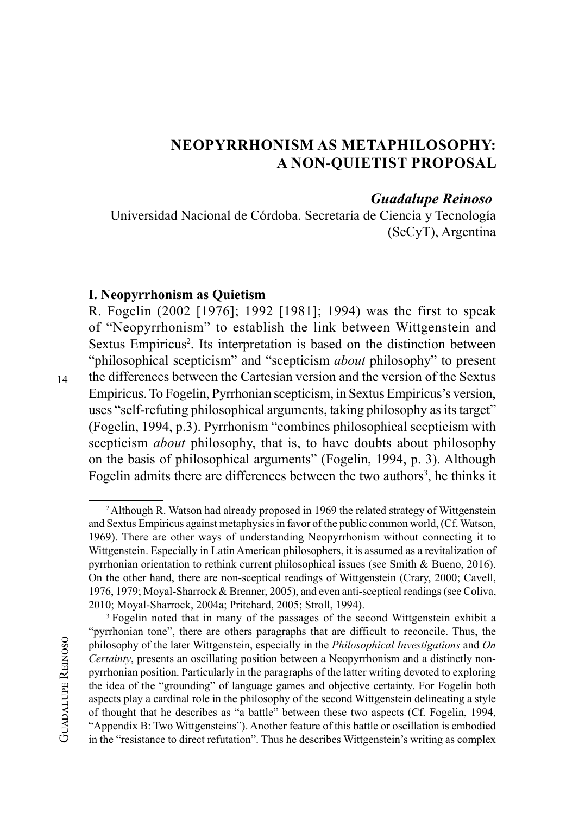## **NEOPYRRHONISM AS METAPHILOSOPHY: A NON-QUIETIST PROPOSAL**

#### *Guadalupe Reinoso*

Universidad Nacional de Córdoba. Secretaría de Ciencia y Tecnología (SeCyT), Argentina

#### **I. Neopyrrhonism as Quietism**

R. Fogelin (2002 [1976]; 1992 [1981]; 1994) was the first to speak of "Neopyrrhonism" to establish the link between Wittgenstein and Sextus Empiricus<sup>2</sup>. Its interpretation is based on the distinction between "philosophical scepticism" and "scepticism *about* philosophy" to present the differences between the Cartesian version and the version of the Sextus Empiricus. To Fogelin, Pyrrhonian scepticism, in Sextus Empiricus's version, uses "self-refuting philosophical arguments, taking philosophy as its target" (Fogelin, 1994, p.3). Pyrrhonism "combines philosophical scepticism with scepticism *about* philosophy, that is, to have doubts about philosophy on the basis of philosophical arguments" (Fogelin, 1994, p. 3). Although Fogelin admits there are differences between the two authors<sup>3</sup>, he thinks it

<sup>&</sup>lt;sup>2</sup> Although R. Watson had already proposed in 1969 the related strategy of Wittgenstein and Sextus Empiricus against metaphysics in favor of the public common world, (Cf. Watson, 1969). There are other ways of understanding Neopyrrhonism without connecting it to Wittgenstein. Especially in Latin American philosophers, it is assumed as a revitalization of pyrrhonian orientation to rethink current philosophical issues (see Smith & Bueno, 2016). On the other hand, there are non-sceptical readings of Wittgenstein (Crary, 2000; Cavell, 1976, 1979; Moyal-Sharrock & Brenner, 2005), and even anti-sceptical readings (see Coliva, 2010; Moyal-Sharrock, 2004a; Pritchard, 2005; Stroll, 1994).

<sup>&</sup>lt;sup>3</sup> Fogelin noted that in many of the passages of the second Wittgenstein exhibit a "pyrrhonian tone", there are others paragraphs that are difficult to reconcile. Thus, the philosophy of the later Wittgenstein, especially in the *Philosophical Investigations* and *On Certainty*, presents an oscillating position between a Neopyrrhonism and a distinctly nonpyrrhonian position. Particularly in the paragraphs of the latter writing devoted to exploring the idea of the "grounding" of language games and objective certainty. For Fogelin both aspects play a cardinal role in the philosophy of the second Wittgenstein delineating a style of thought that he describes as "a battle" between these two aspects (Cf. Fogelin, 1994, "Appendix B: Two Wittgensteins"). Another feature of this battle or oscillation is embodied in the "resistance to direct refutation". Thus he describes Wittgenstein's writing as complex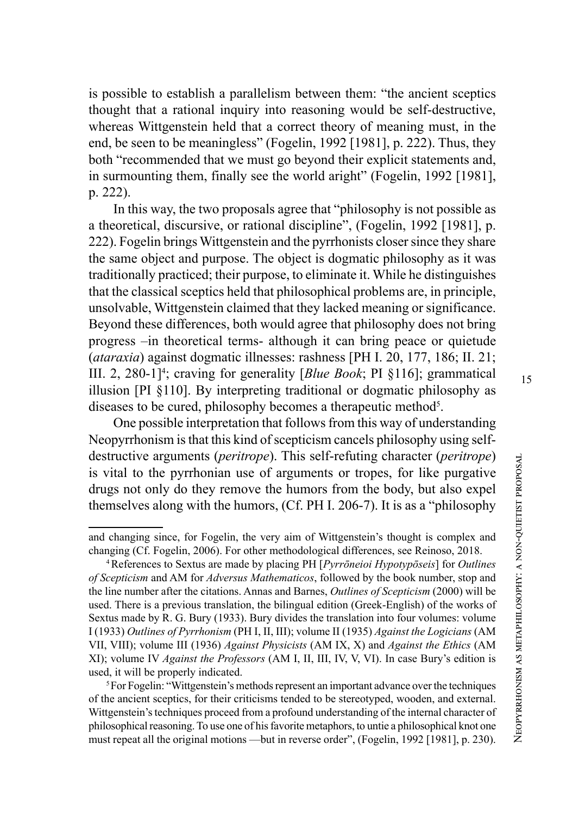is possible to establish a parallelism between them: "the ancient sceptics thought that a rational inquiry into reasoning would be self-destructive, whereas Wittgenstein held that a correct theory of meaning must, in the end, be seen to be meaningless" (Fogelin, 1992 [1981], p. 222). Thus, they both "recommended that we must go beyond their explicit statements and, in surmounting them, finally see the world aright" (Fogelin, 1992 [1981], p. 222).

In this way, the two proposals agree that "philosophy is not possible as a theoretical, discursive, or rational discipline", (Fogelin, 1992 [1981], p. 222). Fogelin brings Wittgenstein and the pyrrhonists closer since they share the same object and purpose. The object is dogmatic philosophy as it was traditionally practiced; their purpose, to eliminate it. While he distinguishes that the classical sceptics held that philosophical problems are, in principle, unsolvable, Wittgenstein claimed that they lacked meaning or significance. Beyond these differences, both would agree that philosophy does not bring progress –in theoretical terms- although it can bring peace or quietude (*ataraxia*) against dogmatic illnesses: rashness [PH I. 20, 177, 186; II. 21; III. 2, 280-1] 4 ; craving for generality [*Blue Book*; PI §116]; grammatical illusion [PI §110]. By interpreting traditional or dogmatic philosophy as diseases to be cured, philosophy becomes a therapeutic method<sup>5</sup>.

One possible interpretation that follows from this way of understanding Neopyrrhonism is that this kind of scepticism cancels philosophy using selfdestructive arguments (*peritrope*). This self-refuting character (*peritrope*) is vital to the pyrrhonian use of arguments or tropes, for like purgative drugs not only do they remove the humors from the body, but also expel themselves along with the humors, (Cf. PH I. 206-7). It is as a "philosophy

<sup>5</sup>For Fogelin: "Wittgenstein's methods represent an important advance over the techniques of the ancient sceptics, for their criticisms tended to be stereotyped, wooden, and external. Wittgenstein's techniques proceed from a profound understanding of the internal character of philosophical reasoning. To use one of his favorite metaphors, to untie a philosophical knot one must repeat all the original motions —but in reverse order", (Fogelin, 1992 [1981], p. 230).

and changing since, for Fogelin, the very aim of Wittgenstein's thought is complex and changing (Cf. Fogelin, 2006). For other methodological differences, see Reinoso, 2018. 4References to Sextus are made by placing PH [*Pyrrōneioi Hypotypōseis*] for *Outlines* 

*of Scepticism* and AM for *Adversus Mathematicos*, followed by the book number, stop and the line number after the citations. Annas and Barnes, *Outlines of Scepticism* (2000) will be used. There is a previous translation, the bilingual edition (Greek-English) of the works of Sextus made by R. G. Bury (1933). Bury divides the translation into four volumes: volume I (1933) *Outlines of Pyrrhonism* (PH I, II, III); volume II (1935) *Against the Logicians* (AM VII, VIII); volume III (1936) *Against Physicists* (AM IX, X) and *Against the Ethics* (AM XI); volume IV *Against the Professors* (AM I, II, III, IV, V, VI). In case Bury's edition is used, it will be properly indicated.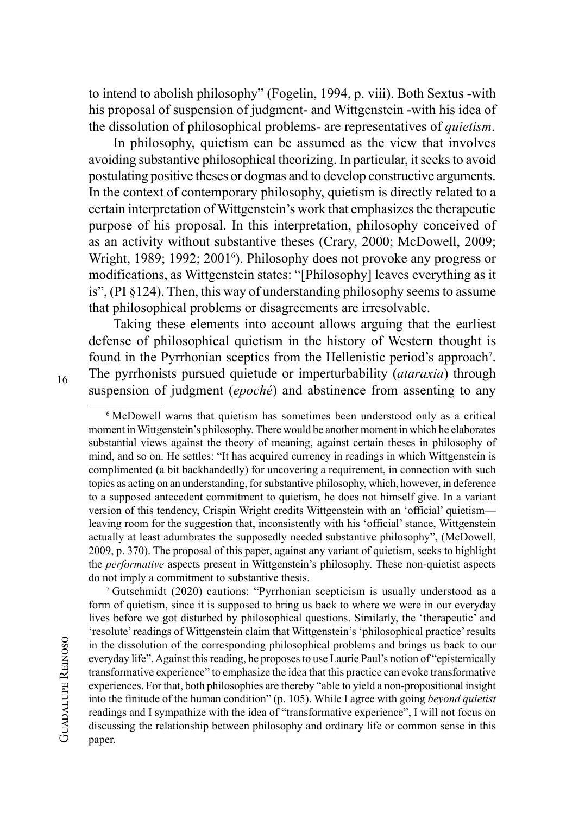to intend to abolish philosophy" (Fogelin, 1994, p. viii). Both Sextus -with his proposal of suspension of judgment- and Wittgenstein -with his idea of the dissolution of philosophical problems- are representatives of *quietism*.

In philosophy, quietism can be assumed as the view that involves avoiding substantive philosophical theorizing. In particular, it seeks to avoid postulating positive theses or dogmas and to develop constructive arguments. In the context of contemporary philosophy, quietism is directly related to a certain interpretation of Wittgenstein's work that emphasizes the therapeutic purpose of his proposal. In this interpretation, philosophy conceived of as an activity without substantive theses (Crary, 2000; McDowell, 2009; Wright, 1989; 1992; 2001<sup>6</sup>). Philosophy does not provoke any progress or modifications, as Wittgenstein states: "[Philosophy] leaves everything as it is", (PI §124). Then, this way of understanding philosophy seems to assume that philosophical problems or disagreements are irresolvable.

Taking these elements into account allows arguing that the earliest defense of philosophical quietism in the history of Western thought is found in the Pyrrhonian sceptics from the Hellenistic period's approach<sup>7</sup>. The pyrrhonists pursued quietude or imperturbability (*ataraxia*) through suspension of judgment (*epoché*) and abstinence from assenting to any

<sup>6</sup> McDowell warns that quietism has sometimes been understood only as a critical moment in Wittgenstein's philosophy. There would be another moment in which he elaborates substantial views against the theory of meaning, against certain theses in philosophy of mind, and so on. He settles: "It has acquired currency in readings in which Wittgenstein is complimented (a bit backhandedly) for uncovering a requirement, in connection with such topics as acting on an understanding, for substantive philosophy, which, however, in deference to a supposed antecedent commitment to quietism, he does not himself give. In a variant version of this tendency, Crispin Wright credits Wittgenstein with an 'official' quietism leaving room for the suggestion that, inconsistently with his 'official' stance, Wittgenstein actually at least adumbrates the supposedly needed substantive philosophy", (McDowell, 2009, p. 370). The proposal of this paper, against any variant of quietism, seeks to highlight the *performative* aspects present in Wittgenstein's philosophy. These non-quietist aspects do not imply a commitment to substantive thesis.

<sup>7</sup> Gutschmidt (2020) cautions: "Pyrrhonian scepticism is usually understood as a form of quietism, since it is supposed to bring us back to where we were in our everyday lives before we got disturbed by philosophical questions. Similarly, the 'therapeutic' and 'resolute' readings of Wittgenstein claim that Wittgenstein's 'philosophical practice' results in the dissolution of the corresponding philosophical problems and brings us back to our everyday life". Against this reading, he proposes to use Laurie Paul's notion of "epistemically transformative experience" to emphasize the idea that this practice can evoke transformative experiences. For that, both philosophies are thereby "able to yield a non-propositional insight into the finitude of the human condition" (p. 105). While I agree with going *beyond quietist* readings and I sympathize with the idea of "transformative experience", I will not focus on discussing the relationship between philosophy and ordinary life or common sense in this paper.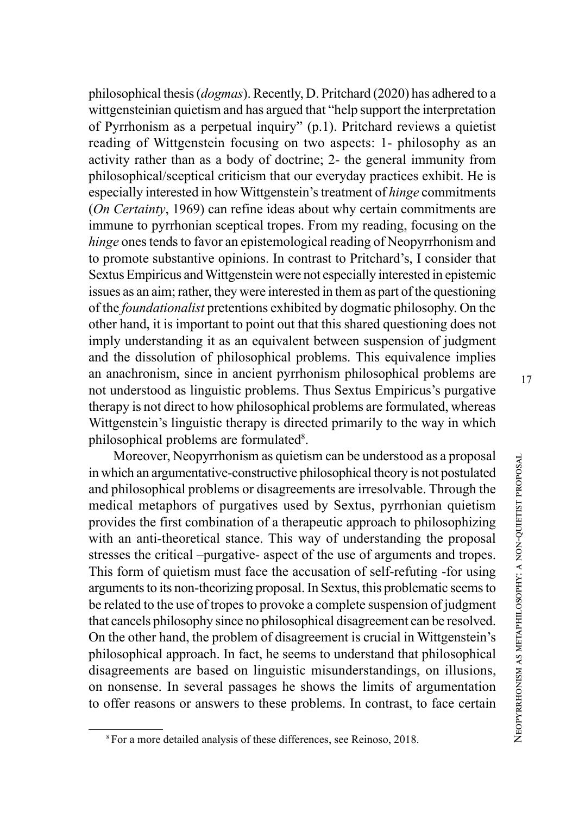philosophical thesis (*dogmas*). Recently, D. Pritchard (2020) has adhered to a wittgensteinian quietism and has argued that "help support the interpretation of Pyrrhonism as a perpetual inquiry" (p.1). Pritchard reviews a quietist reading of Wittgenstein focusing on two aspects: 1- philosophy as an activity rather than as a body of doctrine; 2- the general immunity from philosophical/sceptical criticism that our everyday practices exhibit. He is especially interested in how Wittgenstein's treatment of *hinge* commitments (*On Certainty*, 1969) can refine ideas about why certain commitments are immune to pyrrhonian sceptical tropes. From my reading, focusing on the *hinge* ones tends to favor an epistemological reading of Neopyrrhonism and to promote substantive opinions. In contrast to Pritchard's, I consider that Sextus Empiricus and Wittgenstein were not especially interested in epistemic issues as an aim; rather, they were interested in them as part of the questioning of the *foundationalist* pretentions exhibited by dogmatic philosophy. On the other hand, it is important to point out that this shared questioning does not imply understanding it as an equivalent between suspension of judgment and the dissolution of philosophical problems. This equivalence implies an anachronism, since in ancient pyrrhonism philosophical problems are not understood as linguistic problems. Thus Sextus Empiricus's purgative therapy is not direct to how philosophical problems are formulated, whereas Wittgenstein's linguistic therapy is directed primarily to the way in which philosophical problems are formulated 8 .

Moreover, Neopyrrhonism as quietism can be understood as a proposal in which an argumentative-constructive philosophical theory is not postulated and philosophical problems or disagreements are irresolvable. Through the medical metaphors of purgatives used by Sextus, pyrrhonian quietism provides the first combination of a therapeutic approach to philosophizing with an anti-theoretical stance. This way of understanding the proposal stresses the critical –purgative- aspect of the use of arguments and tropes. This form of quietism must face the accusation of self-refuting -for using arguments to its non-theorizing proposal. In Sextus, this problematic seems to be related to the use of tropes to provoke a complete suspension of judgment that cancels philosophy since no philosophical disagreement can be resolved. On the other hand, the problem of disagreement is crucial in Wittgenstein's philosophical approach. In fact, he seems to understand that philosophical disagreements are based on linguistic misunderstandings, on illusions, on nonsense. In several passages he shows the limits of argumentation to offer reasons or answers to these problems. In contrast, to face certain<br><sup>8</sup> For a more detailed analysis of these differences, see Reinoso, 2018.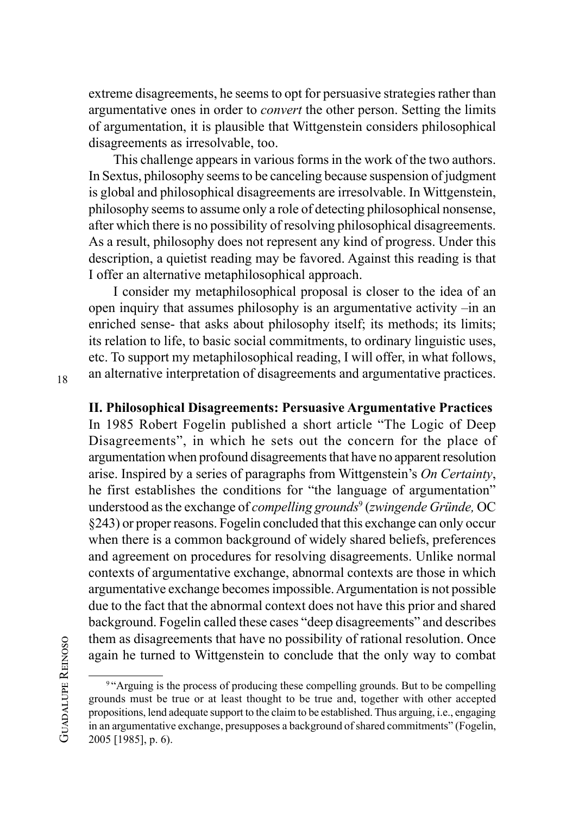extreme disagreements, he seems to opt for persuasive strategies rather than argumentative ones in order to *convert* the other person. Setting the limits of argumentation, it is plausible that Wittgenstein considers philosophical disagreements as irresolvable, too.

This challenge appears in various forms in the work of the two authors. In Sextus, philosophy seems to be canceling because suspension of judgment is global and philosophical disagreements are irresolvable. In Wittgenstein, philosophy seems to assume only a role of detecting philosophical nonsense, after which there is no possibility of resolving philosophical disagreements. As a result, philosophy does not represent any kind of progress. Under this description, a quietist reading may be favored. Against this reading is that I offer an alternative metaphilosophical approach.

I consider my metaphilosophical proposal is closer to the idea of an open inquiry that assumes philosophy is an argumentative activity –in an enriched sense- that asks about philosophy itself; its methods; its limits; its relation to life, to basic social commitments, to ordinary linguistic uses, etc. To support my metaphilosophical reading, I will offer, in what follows, an alternative interpretation of disagreements and argumentative practices.

18

## **II. Philosophical Disagreements: Persuasive Argumentative Practices**

In 1985 Robert Fogelin published a short article "The Logic of Deep Disagreements", in which he sets out the concern for the place of argumentation when profound disagreements that have no apparent resolution arise. Inspired by a series of paragraphs from Wittgenstein's *On Certainty*, he first establishes the conditions for "the language of argumentation" understood as the exchange of *compelling grounds*<sup>9</sup> (*zwingende Gründe,* OC §243) or proper reasons. Fogelin concluded that this exchange can only occur when there is a common background of widely shared beliefs, preferences and agreement on procedures for resolving disagreements. Unlike normal contexts of argumentative exchange, abnormal contexts are those in which argumentative exchange becomes impossible. Argumentation is not possible due to the fact that the abnormal context does not have this prior and shared background. Fogelin called these cases "deep disagreements" and describes them as disagreements that have no possibility of rational resolution. Once again he turned to Wittgenstein to conclude that the only way to combat

**GUADALUPE REINOSO** Guadalupe Reinoso

<sup>&</sup>lt;sup>9 "</sup>Arguing is the process of producing these compelling grounds. But to be compelling grounds must be true or at least thought to be true and, together with other accepted propositions, lend adequate support to the claim to be established. Thus arguing, i.e., engaging in an argumentative exchange, presupposes a background of shared commitments" (Fogelin, 2005 [1985], p. 6).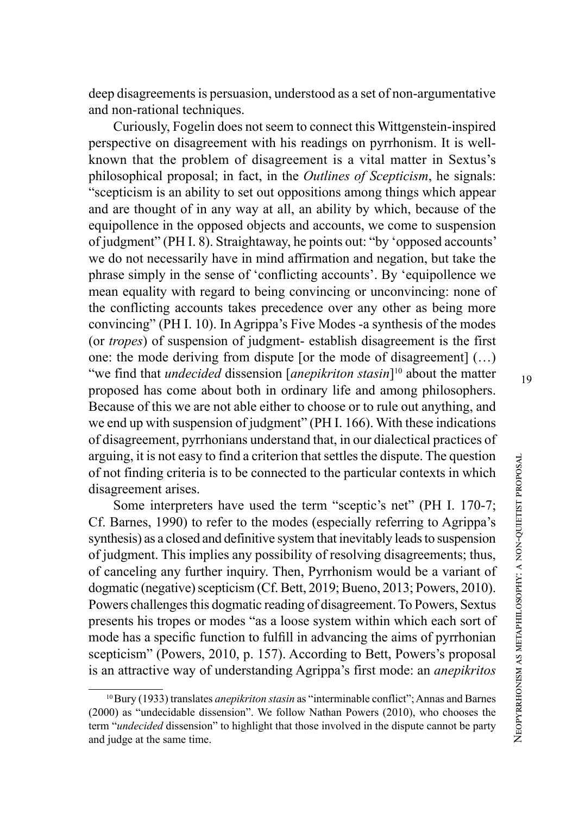deep disagreements is persuasion, understood as a set of non-argumentative and non-rational techniques.

Curiously, Fogelin does not seem to connect this Wittgenstein-inspired perspective on disagreement with his readings on pyrrhonism. It is wellknown that the problem of disagreement is a vital matter in Sextus's philosophical proposal; in fact, in the *Outlines of Scepticism*, he signals: "scepticism is an ability to set out oppositions among things which appear and are thought of in any way at all, an ability by which, because of the equipollence in the opposed objects and accounts, we come to suspension of judgment" (PH I. 8). Straightaway, he points out: "by 'opposed accounts' we do not necessarily have in mind affirmation and negation, but take the phrase simply in the sense of 'conflicting accounts'. By 'equipollence we mean equality with regard to being convincing or unconvincing: none of the conflicting accounts takes precedence over any other as being more convincing" (PH I. 10). In Agrippa's Five Modes -a synthesis of the modes (or *tropes*) of suspension of judgment- establish disagreement is the first one: the mode deriving from dispute [or the mode of disagreement] (…) "we find that *undecided* dissension [*anepikriton stasin*]<sup>10</sup> about the matter proposed has come about both in ordinary life and among philosophers. Because of this we are not able either to choose or to rule out anything, and we end up with suspension of judgment" (PH I. 166). With these indications of disagreement, pyrrhonians understand that, in our dialectical practices of arguing, it is not easy to find a criterion that settles the dispute. The question of not finding criteria is to be connected to the particular contexts in which disagreement arises.

Some interpreters have used the term "sceptic's net" (PH I. 170-7; Cf. Barnes, 1990) to refer to the modes (especially referring to Agrippa's synthesis) as a closed and definitive system that inevitably leads to suspension of judgment. This implies any possibility of resolving disagreements; thus, of canceling any further inquiry. Then, Pyrrhonism would be a variant of dogmatic (negative) scepticism (Cf. Bett, 2019; Bueno, 2013; Powers, 2010). Powers challenges this dogmatic reading of disagreement. To Powers, Sextus presents his tropes or modes "as a loose system within which each sort of mode has a specific function to fulfill in advancing the aims of pyrrhonian scepticism" (Powers, 2010, p. 157). According to Bett, Powers's proposal is an attractive way of understanding Agrippa's first mode: an *anepikritos*

<sup>10</sup> Bury (1933) translates *anepikriton stasin* as "interminable conflict"; Annas and Barnes (2000) as "undecidable dissension". We follow Nathan Powers (2010), who chooses the term "*undecided* dissension" to highlight that those involved in the dispute cannot be party and judge at the same time.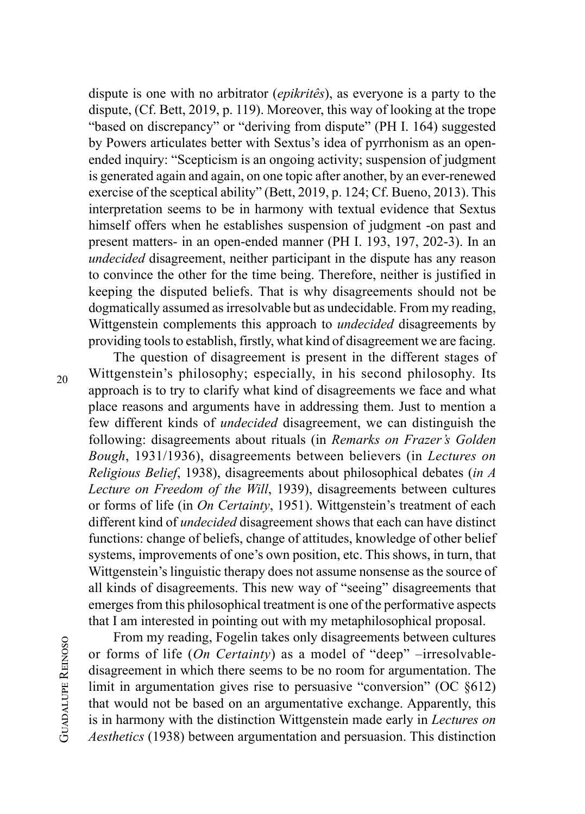dispute is one with no arbitrator (*epikritês*), as everyone is a party to the dispute, (Cf. Bett, 2019, p. 119). Moreover, this way of looking at the trope "based on discrepancy" or "deriving from dispute" (PH I. 164) suggested by Powers articulates better with Sextus's idea of pyrrhonism as an openended inquiry: "Scepticism is an ongoing activity; suspension of judgment is generated again and again, on one topic after another, by an ever-renewed exercise of the sceptical ability" (Bett, 2019, p. 124; Cf. Bueno, 2013). This interpretation seems to be in harmony with textual evidence that Sextus himself offers when he establishes suspension of judgment -on past and present matters- in an open-ended manner (PH I. 193, 197, 202-3). In an *undecided* disagreement, neither participant in the dispute has any reason to convince the other for the time being. Therefore, neither is justified in keeping the disputed beliefs. That is why disagreements should not be dogmatically assumed as irresolvable but as undecidable. From my reading, Wittgenstein complements this approach to *undecided* disagreements by providing tools to establish, firstly, what kind of disagreement we are facing.

20

The question of disagreement is present in the different stages of Wittgenstein's philosophy; especially, in his second philosophy. Its approach is to try to clarify what kind of disagreements we face and what place reasons and arguments have in addressing them. Just to mention a few different kinds of *undecided* disagreement, we can distinguish the following: disagreements about rituals (in *Remarks on Frazer's Golden Bough*, 1931/1936), disagreements between believers (in *Lectures on Religious Belief*, 1938), disagreements about philosophical debates (*in A Lecture on Freedom of the Will*, 1939), disagreements between cultures or forms of life (in *On Certainty*, 1951). Wittgenstein's treatment of each different kind of *undecided* disagreement shows that each can have distinct functions: change of beliefs, change of attitudes, knowledge of other belief systems, improvements of one's own position, etc. This shows, in turn, that Wittgenstein's linguistic therapy does not assume nonsense as the source of all kinds of disagreements. This new way of "seeing" disagreements that emerges from this philosophical treatment is one of the performative aspects that I am interested in pointing out with my metaphilosophical proposal.

From my reading, Fogelin takes only disagreements between cultures or forms of life (*On Certainty*) as a model of "deep" –irresolvabledisagreement in which there seems to be no room for argumentation. The limit in argumentation gives rise to persuasive "conversion" (OC §612) that would not be based on an argumentative exchange. Apparently, this is in harmony with the distinction Wittgenstein made early in *Lectures on Aesthetics* (1938) between argumentation and persuasion. This distinction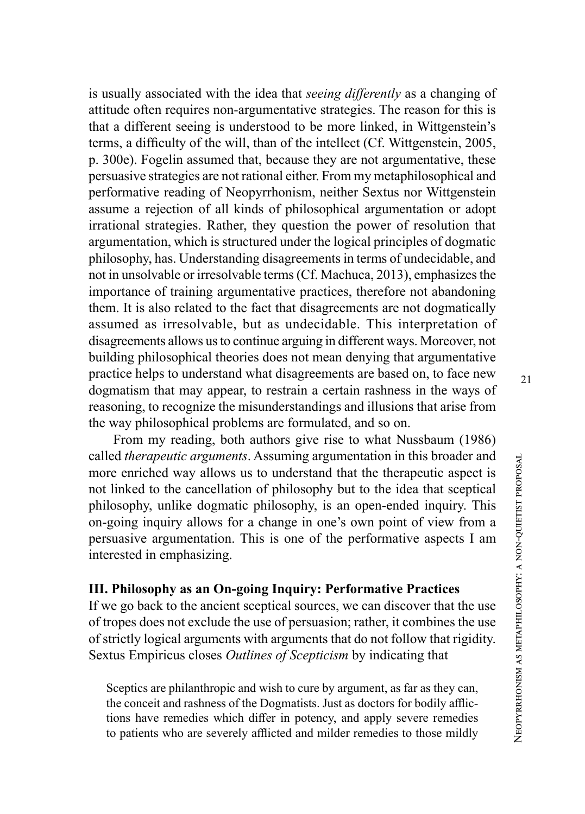is usually associated with the idea that *seeing differently* as a changing of attitude often requires non-argumentative strategies. The reason for this is that a different seeing is understood to be more linked, in Wittgenstein's terms, a difficulty of the will, than of the intellect (Cf. Wittgenstein, 2005, p. 300e). Fogelin assumed that, because they are not argumentative, these persuasive strategies are not rational either. From my metaphilosophical and performative reading of Neopyrrhonism, neither Sextus nor Wittgenstein assume a rejection of all kinds of philosophical argumentation or adopt irrational strategies. Rather, they question the power of resolution that argumentation, which is structured under the logical principles of dogmatic philosophy, has. Understanding disagreements in terms of undecidable, and not in unsolvable or irresolvable terms (Cf. Machuca, 2013), emphasizes the importance of training argumentative practices, therefore not abandoning them. It is also related to the fact that disagreements are not dogmatically assumed as irresolvable, but as undecidable. This interpretation of disagreements allows us to continue arguing in different ways. Moreover, not building philosophical theories does not mean denying that argumentative practice helps to understand what disagreements are based on, to face new dogmatism that may appear, to restrain a certain rashness in the ways of reasoning, to recognize the misunderstandings and illusions that arise from the way philosophical problems are formulated, and so on.

From my reading, both authors give rise to what Nussbaum (1986) called *therapeutic arguments*. Assuming argumentation in this broader and more enriched way allows us to understand that the therapeutic aspect is not linked to the cancellation of philosophy but to the idea that sceptical philosophy, unlike dogmatic philosophy, is an open-ended inquiry. This on-going inquiry allows for a change in one's own point of view from a persuasive argumentation. This is one of the performative aspects I am interested in emphasizing.

### **III. Philosophy as an On-going Inquiry: Performative Practices**

If we go back to the ancient sceptical sources, we can discover that the use of tropes does not exclude the use of persuasion; rather, it combines the use of strictly logical arguments with arguments that do not follow that rigidity. Sextus Empiricus closes *Outlines of Scepticism* by indicating that

Sceptics are philanthropic and wish to cure by argument, as far as they can, the conceit and rashness of the Dogmatists. Just as doctors for bodily afflic tions have remedies which differ in potency, and apply severe remedies to patients who are severely afflicted and milder remedies to those mildly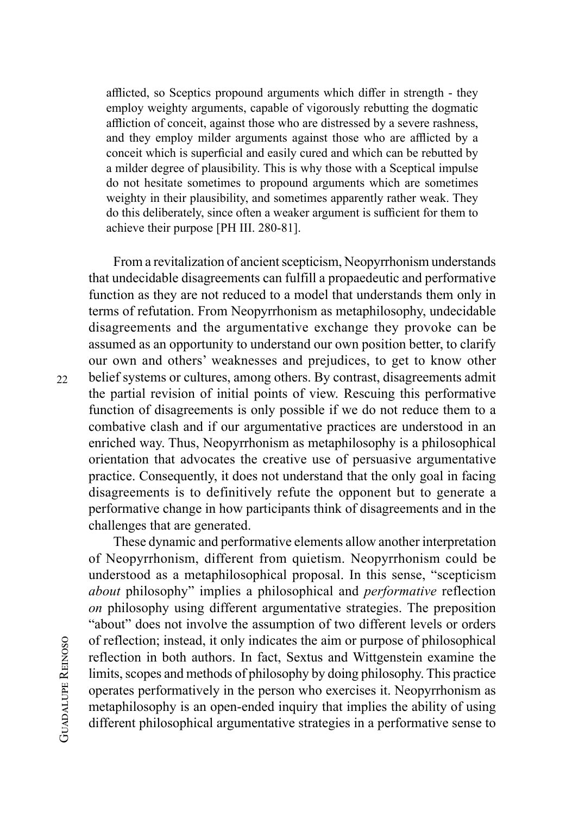afflicted, so Sceptics propound arguments which differ in strength - they employ weighty arguments, capable of vigorously rebutting the dogmatic affliction of conceit, against those who are distressed by a severe rashness, and they employ milder arguments against those who are afflicted by a conceit which is superficial and easily cured and which can be rebutted by a milder degree of plausibility. This is why those with a Sceptical impulse do not hesitate sometimes to propound arguments which are sometimes weighty in their plausibility, and sometimes apparently rather weak. They do this deliberately, since often a weaker argument is sufficient for them to achieve their purpose [PH III. 280-81].

From a revitalization of ancient scepticism, Neopyrrhonism understands that undecidable disagreements can fulfill a propaedeutic and performative function as they are not reduced to a model that understands them only in terms of refutation. From Neopyrrhonism as metaphilosophy, undecidable disagreements and the argumentative exchange they provoke can be assumed as an opportunity to understand our own position better, to clarify our own and others' weaknesses and prejudices, to get to know other belief systems or cultures, among others. By contrast, disagreements admit the partial revision of initial points of view. Rescuing this performative function of disagreements is only possible if we do not reduce them to a combative clash and if our argumentative practices are understood in an enriched way. Thus, Neopyrrhonism as metaphilosophy is a philosophical orientation that advocates the creative use of persuasive argumentative practice. Consequently, it does not understand that the only goal in facing disagreements is to definitively refute the opponent but to generate a performative change in how participants think of disagreements and in the challenges that are generated.

These dynamic and performative elements allow another interpretation of Neopyrrhonism, different from quietism. Neopyrrhonism could be understood as a metaphilosophical proposal. In this sense, "scepticism *about* philosophy" implies a philosophical and *performative* reflection *on* philosophy using different argumentative strategies. The preposition "about" does not involve the assumption of two different levels or orders of reflection; instead, it only indicates the aim or purpose of philosophical reflection in both authors. In fact, Sextus and Wittgenstein examine the limits, scopes and methods of philosophy by doing philosophy. This practice operates performatively in the person who exercises it. Neopyrrhonism as metaphilosophy is an open-ended inquiry that implies the ability of using different philosophical argumentative strategies in a performative sense to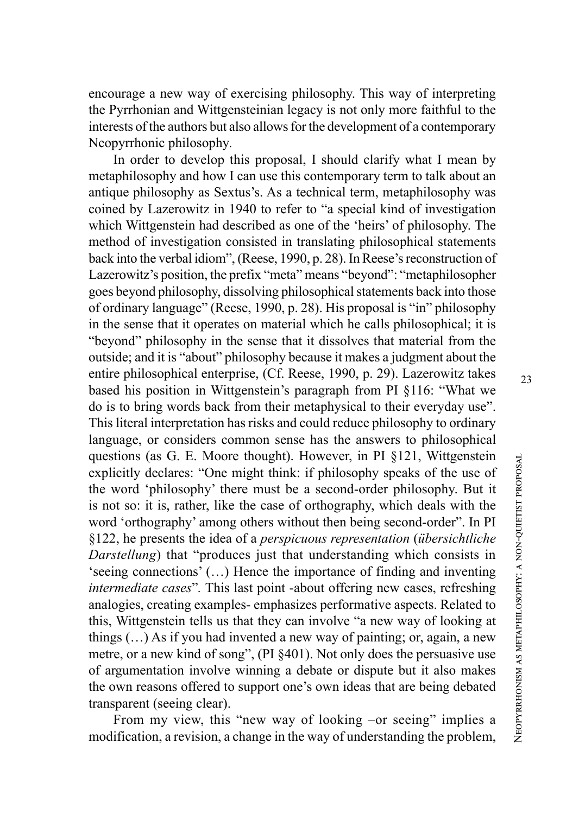encourage a new way of exercising philosophy. This way of interpreting the Pyrrhonian and Wittgensteinian legacy is not only more faithful to the interests of the authors but also allows for the development of a contemporary Neopyrrhonic philosophy *.*

In order to develop this proposal, I should clarify what I mean by metaphilosophy and how I can use this contemporary term to talk about an antique philosophy as Sextus's. As a technical term, metaphilosophy was coined by Lazerowitz in 1940 to refer to "a special kind of investigation which Wittgenstein had described as one of the 'heirs' of philosophy. The method of investigation consisted in translating philosophical statements back into the verbal idiom", (Reese, 1990, p. 28). In Reese's reconstruction of Lazerowitz's position, the prefix "meta" means "beyond": "metaphilosopher goes beyond philosophy, dissolving philosophical statements back into those of ordinary language" (Reese, 1990, p. 28). His proposal is "in" philosophy in the sense that it operates on material which he calls philosophical; it is "beyond" philosophy in the sense that it dissolves that material from the outside; and it is "about" philosophy because it makes a judgment about the entire philosophical enterprise, (Cf. Reese, 1990, p. 29). Lazerowitz takes based his position in Wittgenstein's paragraph from PI §116: "What we do is to bring words back from their metaphysical to their everyday use". This literal interpretation has risks and could reduce philosophy to ordinary language, or considers common sense has the answers to philosophical questions (as G. E. Moore thought). However, in PI §121, Wittgenstein explicitly declares: "One might think: if philosophy speaks of the use of the word 'philosophy' there must be a second-order philosophy. But it is not so: it is, rather, like the case of orthography, which deals with the word 'orthography' among others without then being second-order". In PI §122, he presents the idea of a *perspicuous representation* (*übersichtliche Darstellung*) that "produces just that understanding which consists in 'seeing connections' (…) Hence the importance of finding and inventing intermediate cases". This last point -about offering new cases, refreshing analogies, creating examples- emphasizes performative aspects. Related to this, Wittgenstein tells us that they can involve "a new way of looking at things (…) As if you had invented a new way of painting; or, again, a new metre, or a new kind of song", (PI §401). Not only does the persuasive use of argumentation involve winning a debate or dispute but it also makes the own reasons offered to support one's own ideas that are being debated transparent (seeing clear).

From my view, this "new way of looking -or seeing" implies a modification, a revision, a change in the way of understanding the problem,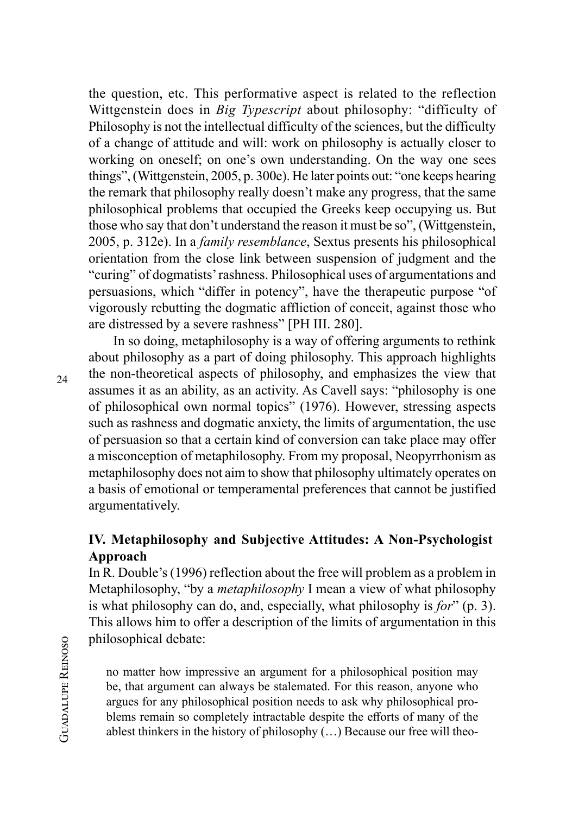the question, etc. This performative aspect is related to the reflection Wittgenstein does in *Big Typescript* about philosophy: "difficulty of Philosophy is not the intellectual difficulty of the sciences, but the difficulty of a change of attitude and will: work on philosophy is actually closer to working on oneself; on one's own understanding. On the way one sees things", (Wittgenstein, 2005, p. 300e). He later points out: "one keeps hearing the remark that philosophy really doesn't make any progress, that the same philosophical problems that occupied the Greeks keep occupying us. But those who say that don't understand the reason it must be so", (Wittgenstein, 2005, p. 312e). In a *family resemblance*, Sextus presents his philosophical orientation from the close link between suspension of judgment and the "curing" of dogmatists' rashness. Philosophical uses of argumentations and persuasions, which "differ in potency", have the therapeutic purpose "of vigorously rebutting the dogmatic affliction of conceit, against those who are distressed by a severe rashness" [PH III. 280].

In so doing, metaphilosophy is a way of offering arguments to rethink about philosophy as a part of doing philosophy. This approach highlights the non-theoretical aspects of philosophy, and emphasizes the view that assumes it as an ability, as an activity. As Cavell says: "philosophy is one of philosophical own normal topics" (1976). However, stressing aspects such as rashness and dogmatic anxiety, the limits of argumentation, the use of persuasion so that a certain kind of conversion can take place may offer a misconception of metaphilosophy. From my proposal, Neopyrrhonism as metaphilosophy does not aim to show that philosophy ultimately operates on a basis of emotional or temperamental preferences that cannot be justified argumentatively.

## **IV. Metaphilosophy and Subjective Attitudes: A Non-Psychologist Approach**

In R. Double's (1996) reflection about the free will problem as a problem in Metaphilosophy, "by a *metaphilosophy* I mean a view of what philosophy is what philosophy can do, and, especially, what philosophy is *for*" (p. 3). This allows him to offer a description of the limits of argumentation in this philosophical debate:

no matter how impressive an argument for a philosophical position may be, that argument can always be stalemated. For this reason, anyone who argues for any philosophical position needs to ask why philosophical problems remain so completely intractable despite the efforts of many of the ablest thinkers in the history of philosophy (…) Because our free will theo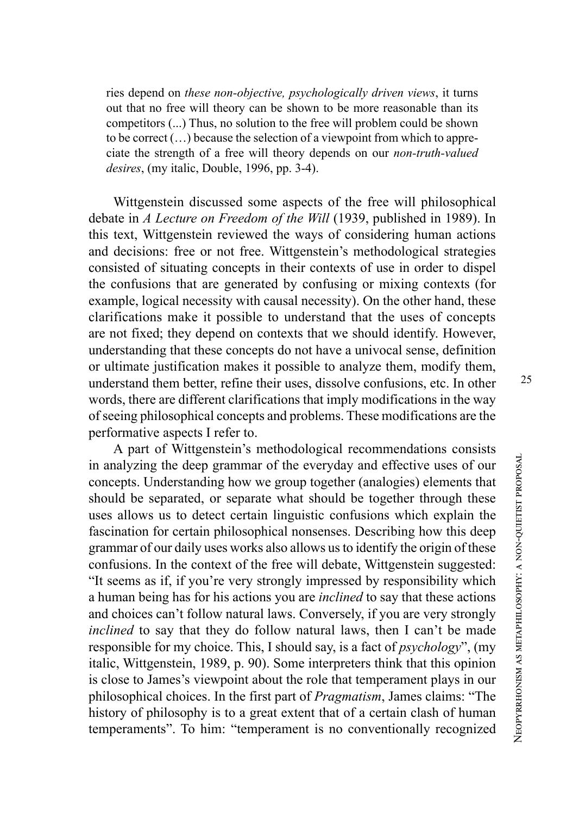ries depend on *these non-objective, psychologically driven views*, it turns out that no free will theory can be shown to be more reasonable than its competitors (...) Thus, no solution to the free will problem could be shown to be correct (…) because the selection of a viewpoint from which to appre ciate the strength of a free will theory depends on our *non-truth-valued desires*, (my italic, Double, 1996, pp. 3-4).

Wittgenstein discussed some aspects of the free will philosophical debate in *A Lecture on Freedom of the Will* (1939, published in 1989). In this text, Wittgenstein reviewed the ways of considering human actions and decisions: free or not free. Wittgenstein's methodological strategies consisted of situating concepts in their contexts of use in order to dispel the confusions that are generated by confusing or mixing contexts (for example, logical necessity with causal necessity). On the other hand, these clarifications make it possible to understand that the uses of concepts are not fixed; they depend on contexts that we should identify. However, understanding that these concepts do not have a univocal sense, definition or ultimate justification makes it possible to analyze them, modify them, understand them better, refine their uses, dissolve confusions, etc. In other words, there are different clarifications that imply modifications in the way of seeing philosophical concepts and problems. These modifications are the performative aspects I refer to.

A part of Wittgenstein's methodological recommendations consists in analyzing the deep grammar of the everyday and effective uses of our concepts. Understanding how we group together (analogies) elements that should be separated, or separate what should be together through these uses allows us to detect certain linguistic confusions which explain the fascination for certain philosophical nonsenses. Describing how this deep grammar of our daily uses works also allows us to identify the origin of these confusions. In the context of the free will debate, Wittgenstein suggested: "It seems as if, if you're very strongly impressed by responsibility which a human being has for his actions you are *inclined* to say that these actions and choices can't follow natural laws. Conversely, if you are very strongly *inclined* to say that they do follow natural laws, then I can't be made responsible for my choice. This, I should say, is a fact of *psychology*", (my italic, Wittgenstein, 1989, p. 90). Some interpreters think that this opinion is close to James's viewpoint about the role that temperament plays in our philosophical choices. In the first part of *Pragmatism*, James claims: "The history of philosophy is to a great extent that of a certain clash of human temperaments". To him: "temperament is no conventionally recognized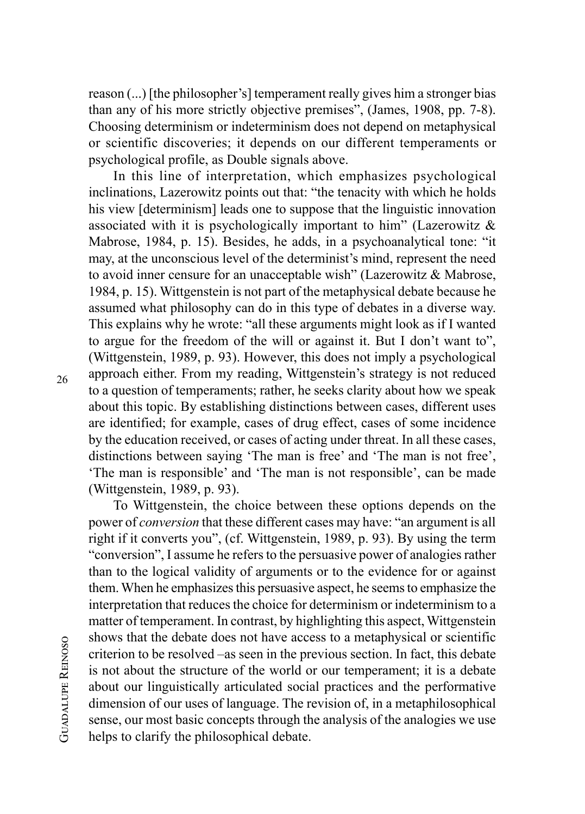reason (...) [the philosopher's] temperament really gives him a stronger bias than any of his more strictly objective premises", (James, 1908, pp. 7-8). Choosing determinism or indeterminism does not depend on metaphysical or scientific discoveries; it depends on our different temperaments or psychological profile, as Double signals above.

In this line of interpretation, which emphasizes psychological inclinations, Lazerowitz points out that: "the tenacity with which he holds his view [determinism] leads one to suppose that the linguistic innovation associated with it is psychologically important to him" (Lazerowitz & Mabrose, 1984, p. 15). Besides, he adds, in a psychoanalytical tone: "it may, at the unconscious level of the determinist's mind, represent the need to avoid inner censure for an unacceptable wish" (Lazerowitz & Mabrose, 1984, p. 15). Wittgenstein is not part of the metaphysical debate because he assumed what philosophy can do in this type of debates in a diverse way. This explains why he wrote: "all these arguments might look as if I wanted to argue for the freedom of the will or against it. But I don't want to", (Wittgenstein, 1989, p. 93). However, this does not imply a psychological approach either. From my reading, Wittgenstein's strategy is not reduced to a question of temperaments; rather, he seeks clarity about how we speak about this topic. By establishing distinctions between cases, different uses are identified; for example, cases of drug effect, cases of some incidence by the education received, or cases of acting under threat. In all these cases, distinctions between saying 'The man is free' and 'The man is not free', 'The man is responsible' and 'The man is not responsible', can be made (Wittgenstein, 1989, p. 93).

To Wittgenstein, the choice between these options depends on the power of *conversion* that these different cases may have: "an argument is all right if it converts you", (cf. Wittgenstein, 1989, p. 93). By using the term "conversion", I assume he refers to the persuasive power of analogies rather than to the logical validity of arguments or to the evidence for or against them. When he emphasizes this persuasive aspect, he seems to emphasize the interpretation that reduces the choice for determinism or indeterminism to a matter of temperament. In contrast, by highlighting this aspect, Wittgenstein shows that the debate does not have access to a metaphysical or scientific criterion to be resolved –as seen in the previous section. In fact, this debate is not about the structure of the world or our temperament; it is a debate about our linguistically articulated social practices and the performative dimension of our uses of language. The revision of, in a metaphilosophical sense, our most basic concepts through the analysis of the analogies we use helps to clarify the philosophical debate.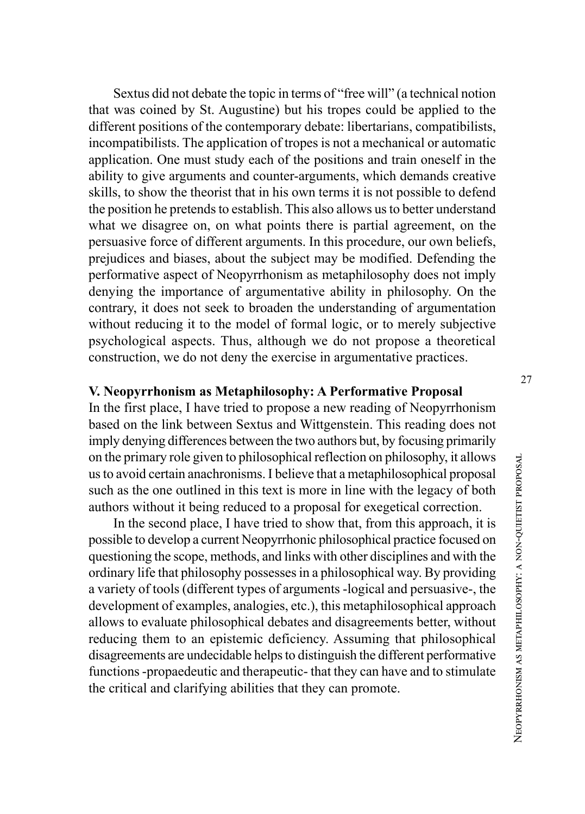Sextus did not debate the topic in terms of "free will" (a technical notion that was coined by St. Augustine) but his tropes could be applied to the different positions of the contemporary debate: libertarians, compatibilists, incompatibilists. The application of tropes is not a mechanical or automatic application. One must study each of the positions and train oneself in the ability to give arguments and counter-arguments, which demands creative skills, to show the theorist that in his own terms it is not possible to defend the position he pretends to establish. This also allows us to better understand what we disagree on, on what points there is partial agreement, on the persuasive force of different arguments. In this procedure, our own beliefs, prejudices and biases, about the subject may be modified. Defending the performative aspect of Neopyrrhonism as metaphilosophy does not imply denying the importance of argumentative ability in philosophy. On the contrary, it does not seek to broaden the understanding of argumentation without reducing it to the model of formal logic, or to merely subjective psychological aspects. Thus, although we do not propose a theoretical construction, we do not deny the exercise in argumentative practices.

### **V. Neopyrrhonism as Metaphilosophy: A Performative Proposal**

In the first place, I have tried to propose a new reading of Neopyrrhonism based on the link between Sextus and Wittgenstein. This reading does not imply denying differences between the two authors but, by focusing primarily on the primary role given to philosophical reflection on philosophy, it allows us to avoid certain anachronisms. I believe that a metaphilosophical proposal such as the one outlined in this text is more in line with the legacy of both authors without it being reduced to a proposal for exegetical correction.

In the second place, I have tried to show that, from this approach, it is possible to develop a current Neopyrrhonic philosophical practice focused on questioning the scope, methods, and links with other disciplines and with the ordinary life that philosophy possesses in a philosophical way. By providing a variety of tools (different types of arguments -logical and persuasive-, the development of examples, analogies, etc.), this metaphilosophical approach allows to evaluate philosophical debates and disagreements better, without reducing them to an epistemic deficiency. Assuming that philosophical disagreements are undecidable helps to distinguish the different performative functions -propaedeutic and therapeutic- that they can have and to stimulate the critical and clarifying abilities that they can promote.

27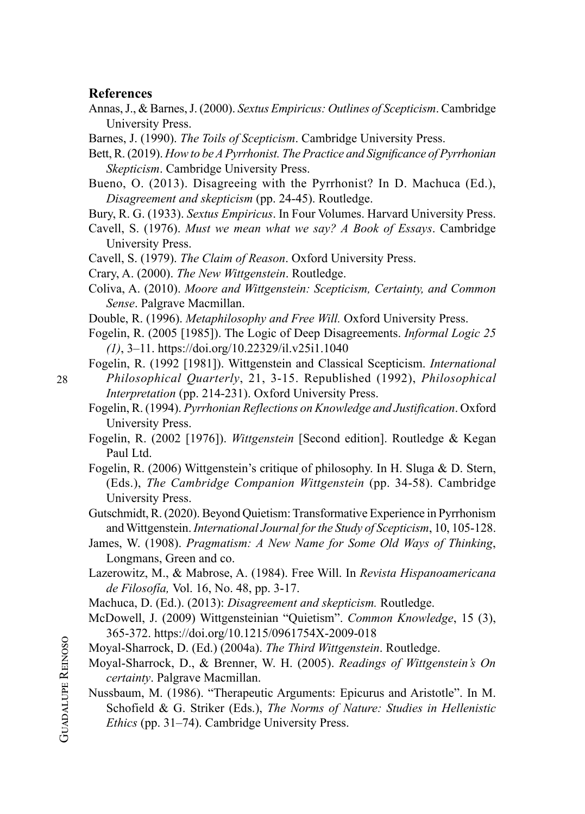#### **References**

- Annas, J., & Barnes, J. (2000). *Sextus Empiricus: Outlines of Scepticism*. Cambridge University Press.
- Barnes, J. (1990). *The Toils of Scepticism*. Cambridge University Press.
- Bett, R. (2019). *How to be A Pyrrhonist. The Practice and Significance of Pyrrhonian Skepticism*. Cambridge University Press.
- Bueno, O. (2013). Disagreeing with the Pyrrhonist? In D. Machuca (Ed.), *Disagreement and skepticism* (pp. 24-45). Routledge.
- Bury, R. G. (1933). *Sextus Empiricus*. In Four Volumes. Harvard University Press.
- Cavell, S. (1976). *Must we mean what we say? A Book of Essays*. Cambridge University Press.
- Cavell, S. (1979). *The Claim of Reason*. Oxford University Press.
- Crary, A. (2000). *The New Wittgenstein*. Routledge.
- Coliva, A. (2010). *Moore and Wittgenstein: Scepticism, Certainty, and Common Sense*. Palgrave Macmillan.
- Double, R. (1996). *Metaphilosophy and Free Will.* Oxford University Press.
- Fogelin, R. (2005 [1985]). The Logic of Deep Disagreements. *Informal Logic 25 (1)*, 3–11.<https://doi.org/10.22329/il.v25i1.1040>
- Fogelin, R. (1992 [1981]). Wittgenstein and Classical Scepticism. *International Philosophical Quarterly*, 21, 3-15. Republished (1992), *Philosophical Interpretation* (pp. 214-231). Oxford University Press.
- Fogelin, R. (1994). *Pyrrhonian Reflections on Knowledge and Justification*. Oxford University Press.
- Fogelin, R. (2002 [1976]). *Wittgenstein* [Second edition]. Routledge & Kegan Paul Ltd.
- Fogelin, R. (2006) Wittgenstein's critique of philosophy. In H. Sluga & D. Stern, (Eds.), *The Cambridge Companion Wittgenstein* (pp. 34-58). Cambridge University Press.
- Gutschmidt, R. (2020). Beyond Quietism: Transformative Experience in Pyrrhonism and Wittgenstein. *International Journal for the Study of Scepticism*, 10, 105-128.
- James, W. (1908). *Pragmatism: A New Name for Some Old Ways of Thinking*, Longmans, Green and co.
- Lazerowitz, M., & Mabrose, A. (1984). Free Will. In *Revista Hispanoamericana de Filosofía,* Vol. 16, No. 48, pp. 3-17.
- Machuca, D. (Ed.). (2013): *Disagreement and skepticism.* Routledge.
- McDowell, J. (2009) Wittgensteinian "Quietism". *Common Knowledge*, 15 (3), 365-372.<https://doi.org/10.1215/0961754X-2009-018>
- Moyal-Sharrock, D. (Ed.) (2004a). *The Third Wittgenstein*. Routledge.
- Moyal-Sharrock, D., & Brenner, W. H. (2005). *Readings of Wittgenstein's On certainty*. Palgrave Macmillan.
- Nussbaum, M. (1986). "Therapeutic Arguments: Epicurus and Aristotle". In M. Schofield & G. Striker (Eds.), *The Norms of Nature: Studies in Hellenistic Ethics* (pp. 31–74). Cambridge University Press.

28